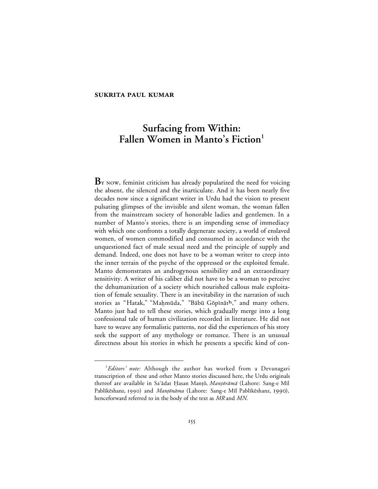# **SUKRITA PAUL KUMAR**

# **Surfacing from Within:** Fallen Women in Manto's Fiction<sup>1</sup>

B<sub>Y</sub> NOW, feminist criticism has already popularized the need for voicing the absent, the silenced and the inarticulate. And it has been nearly five decades now since a significant writer in Urdu had the vision to present pulsating glimpses of the invisible and silent woman, the woman fallen from the mainstream society of honorable ladies and gentlemen. In a number of Manto's stories, there is an impending sense of immediacy with which one confronts a totally degenerate society, a world of enslaved women, of women commodified and consumed in accordance with the unquestioned fact of male sexual need and the principle of supply and demand. Indeed, one does not have to be a woman writer to creep into the inner terrain of the psyche of the oppressed or the exploited female. Manto demonstrates an androgynous sensibility and an extraordinary sensitivity. A writer of his caliber did not have to be a woman to perceive the dehumanization of a society which nourished callous male exploitation of female sexuality. There is an inevitability in the narration of such stories as "Hatak," "Maḥmūda," "Bābū Gōpīnāth," and many others. Manto just had to tell these stories, which gradually merge into a long confessional tale of human civilization recorded in literature. He did not have to weave any formalistic patterns, nor did the experiences of his story seek the support of any mythology or romance. There is an unusual directness about his stories in which he presents a specific kind of con-

 $\overline{\phantom{a}}$ *Editors' note:* Although the author has worked from a Devanagari transcription of these and other Manto stories discussed here, the Urdu originals thereof are available in Sa'ādat Ḥasan Manțō, Manțōrāmā (Lahore: Sang-e Mīl Pablīkēshanz, 1990) and Manțōnāma (Lahore: Sang-e Mīl Pablīkēshanz, 1990), henceforward referred to in the body of the text as *MR* and *MN*.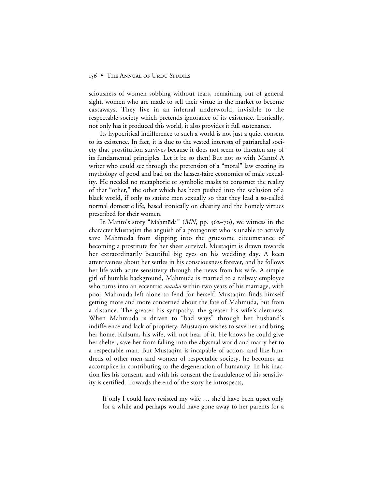sciousness of women sobbing without tears, remaining out of general sight, women who are made to sell their virtue in the market to become castaways. They live in an infernal underworld, invisible to the respectable society which pretends ignorance of its existence. Ironically, not only has it produced this world, it also provides it full sustenance.

Its hypocritical indifference to such a world is not just a quiet consent to its existence. In fact, it is due to the vested interests of patriarchal society that prostitution survives because it does not seem to threaten any of its fundamental principles. Let it be so then! But not so with Manto! A writer who could see through the pretension of a "moral" law erecting its mythology of good and bad on the laissez-faire economics of male sexuality. He needed no metaphoric or symbolic masks to construct the reality of that "other," the other which has been pushed into the seclusion of a black world, if only to satiate men sexually so that they lead a so-called normal domestic life, based ironically on chastity and the homely virtues prescribed for their women.

In Manto's story "Maḥmūda" (*MN*, pp. 562–70), we witness in the character Mustaqim the anguish of a protagonist who is unable to actively save Mahmuda from slipping into the gruesome circumstance of becoming a prostitute for her sheer survival. Mustaqim is drawn towards her extraordinarily beautiful big eyes on his wedding day. A keen attentiveness about her settles in his consciousness forever, and he follows her life with acute sensitivity through the news from his wife. A simple girl of humble background, Mahmuda is married to a railway employee who turns into an eccentric *maulvi* within two years of his marriage, with poor Mahmuda left alone to fend for herself. Mustaqim finds himself getting more and more concerned about the fate of Mahmuda, but from a distance. The greater his sympathy, the greater his wife's alertness. When Mahmuda is driven to "bad ways" through her husband's indifference and lack of propriety, Mustaqim wishes to save her and bring her home. Kulsum, his wife, will not hear of it. He knows he could give her shelter, save her from falling into the abysmal world and marry her to a respectable man. But Mustaqim is incapable of action, and like hundreds of other men and women of respectable society, he becomes an accomplice in contributing to the degeneration of humanity. In his inaction lies his consent, and with his consent the fraudulence of his sensitivity is certified. Towards the end of the story he introspects,

If only I could have resisted my wife … she'd have been upset only for a while and perhaps would have gone away to her parents for a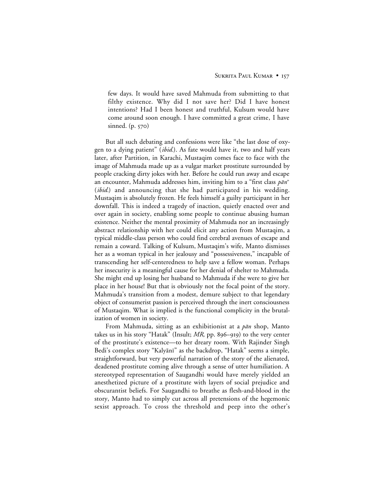few days. It would have saved Mahmuda from submitting to that filthy existence. Why did I not save her? Did I have honest intentions? Had I been honest and truthful, Kulsum would have come around soon enough. I have committed a great crime, I have sinned.  $(p. 570)$ 

But all such debating and confessions were like "the last dose of oxygen to a dying patient" (*ibid.*). As fate would have it, two and half years later, after Partition, in Karachi, Mustaqim comes face to face with the image of Mahmuda made up as a vulgar market prostitute surrounded by people cracking dirty jokes with her. Before he could run away and escape an encounter, Mahmuda addresses him, inviting him to a "first class  $p\bar{a}n$ " (*ibid.*) and announcing that she had participated in his wedding. Mustaqim is absolutely frozen. He feels himself a guilty participant in her downfall. This is indeed a tragedy of inaction, quietly enacted over and over again in society, enabling some people to continue abusing human existence. Neither the mental proximity of Mahmuda nor an increasingly abstract relationship with her could elicit any action from Mustaqim, a typical middle-class person who could find cerebral avenues of escape and remain a coward. Talking of Kulsum, Mustaqim's wife, Manto dismisses her as a woman typical in her jealousy and "possessiveness," incapable of transcending her self-centeredness to help save a fellow woman. Perhaps her insecurity is a meaningful cause for her denial of shelter to Mahmuda. She might end up losing her husband to Mahmuda if she were to give her place in her house! But that is obviously not the focal point of the story. Mahmuda's transition from a modest, demure subject to that legendary object of consumerist passion is perceived through the inert consciousness of Mustaqim. What is implied is the functional complicity in the brutalization of women in society.

From Mahmuda, sitting as an exhibitionist at a  $p\bar{a}n$  shop, Manto takes us in his story "Hatak" (Insult;  $MR$ , pp. 896–919) to the very center of the prostitute's existence—to her dreary room. With Rajinder Singh Bedi's complex story "Kalyānī" as the backdrop, "Hatak" seems a simple, straightforward, but very powerful narration of the story of the alienated, deadened prostitute coming alive through a sense of utter humiliation. A stereotyped representation of Saugandhi would have merely yielded an anesthetized picture of a prostitute with layers of social prejudice and obscurantist beliefs. For Saugandhi to breathe as flesh-and-blood in the story, Manto had to simply cut across all pretensions of the hegemonic sexist approach. To cross the threshold and peep into the other's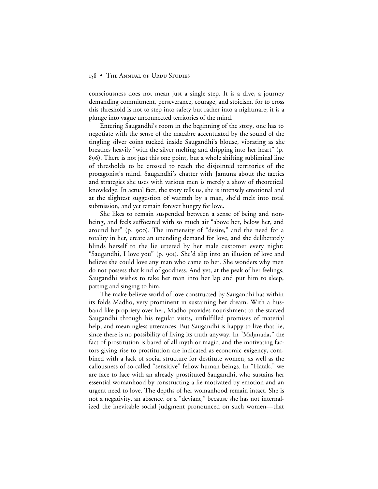consciousness does not mean just a single step. It is a dive, a journey demanding commitment, perseverance, courage, and stoicism, for to cross this threshold is not to step into safety but rather into a nightmare; it is a plunge into vague unconnected territories of the mind.

Entering Saugandhi's room in the beginning of the story, one has to negotiate with the sense of the macabre accentuated by the sound of the tingling silver coins tucked inside Saugandhi's blouse, vibrating as she breathes heavily "with the silver melting and dripping into her heart" (p. ). There is not just this one point, but a whole shifting subliminal line of thresholds to be crossed to reach the disjointed territories of the protagonist's mind. Saugandhi's chatter with Jamuna about the tactics and strategies she uses with various men is merely a show of theoretical knowledge. In actual fact, the story tells us, she is intensely emotional and at the slightest suggestion of warmth by a man, she'd melt into total submission, and yet remain forever hungry for love.

She likes to remain suspended between a sense of being and nonbeing, and feels suffocated with so much air "above her, below her, and around her" (p. 900). The immensity of "desire," and the need for a totality in her, create an unending demand for love, and she deliberately blinds herself to the lie uttered by her male customer every night: "Saugandhi, I love you" (p. 901). She'd slip into an illusion of love and believe she could love any man who came to her. She wonders why men do not possess that kind of goodness. And yet, at the peak of her feelings, Saugandhi wishes to take her man into her lap and put him to sleep, patting and singing to him.

The make-believe world of love constructed by Saugandhi has within its folds Madho, very prominent in sustaining her dream. With a husband-like propriety over her, Madho provides nourishment to the starved Saugandhi through his regular visits, unfulfilled promises of material help, and meaningless utterances. But Saugandhi is happy to live that lie, since there is no possibility of living its truth anyway. In "Mahmūda," the fact of prostitution is bared of all myth or magic, and the motivating factors giving rise to prostitution are indicated as economic exigency, combined with a lack of social structure for destitute women, as well as the callousness of so-called "sensitive" fellow human beings. In "Hatak," we are face to face with an already prostituted Saugandhi, who sustains her essential womanhood by constructing a lie motivated by emotion and an urgent need to love. The depths of her womanhood remain intact. She is not a negativity, an absence, or a "deviant," because she has not internalized the inevitable social judgment pronounced on such women—that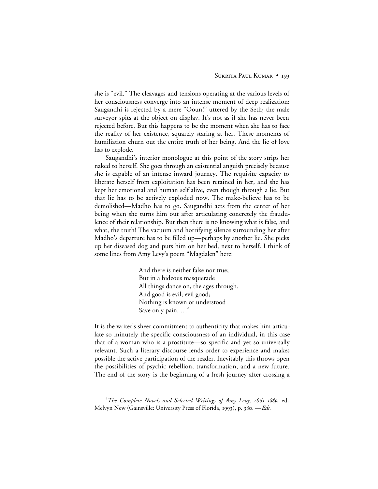she is "evil." The cleavages and tensions operating at the various levels of her consciousness converge into an intense moment of deep realization: Saugandhi is rejected by a mere "Ooun!" uttered by the Seth; the male surveyor spits at the object on display. It's not as if she has never been rejected before. But this happens to be the moment when she has to face the reality of her existence, squarely staring at her. These moments of humiliation churn out the entire truth of her being. And the lie of love has to explode.

Saugandhi's interior monologue at this point of the story strips her naked to herself. She goes through an existential anguish precisely because she is capable of an intense inward journey. The requisite capacity to liberate herself from exploitation has been retained in her, and she has kept her emotional and human self alive, even though through a lie. But that lie has to be actively exploded now. The make-believe has to be demolished—Madho has to go. Saugandhi acts from the center of her being when she turns him out after articulating concretely the fraudulence of their relationship. But then there is no knowing what is false, and what, the truth! The vacuum and horrifying silence surrounding her after Madho's departure has to be filled up—perhaps by another lie. She picks up her diseased dog and puts him on her bed, next to herself. I think of some lines from Amy Levy's poem "Magdalen" here:

> And there is neither false nor true; But in a hideous masquerade All things dance on, the ages through. And good is evil; evil good; Nothing is known or understood Save only pain. ...<sup>2</sup>

It is the writer's sheer commitment to authenticity that makes him articulate so minutely the specific consciousness of an individual, in this case that of a woman who is a prostitute—so specific and yet so universally relevant. Such a literary discourse lends order to experience and makes possible the active participation of the reader. Inevitably this throws open the possibilities of psychic rebellion, transformation, and a new future. The end of the story is the beginning of a fresh journey after crossing a

 $\overline{a}$ <sup>2</sup> The Complete Novels and Selected Writings of Amy Levy, 1861–1889, ed. Melvyn New (Gainsville: University Press of Florida, 1993), p. 380. - Eds.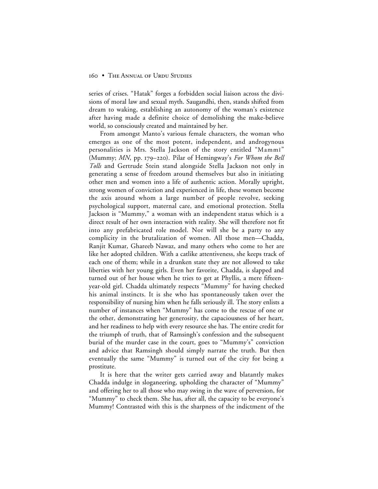series of crises. "Hatak" forges a forbidden social liaison across the divisions of moral law and sexual myth. Saugandhi, then, stands shifted from dream to waking, establishing an autonomy of the woman's existence after having made a definite choice of demolishing the make-believe world, so consciously created and maintained by her.

From amongst Manto's various female characters, the woman who emerges as one of the most potent, independent, and androgynous personalities is Mrs. Stella Jackson of the story entitled "Mammī" (Mummy; *MN*, pp. 179–220). Pilar of Hemingway's *For Whom the Bell Tolls* and Gertrude Stein stand alongside Stella Jackson not only in generating a sense of freedom around themselves but also in initiating other men and women into a life of authentic action. Morally upright, strong women of conviction and experienced in life, these women become the axis around whom a large number of people revolve, seeking psychological support, maternal care, and emotional protection. Stella Jackson is "Mummy," a woman with an independent status which is a direct result of her own interaction with reality. She will therefore not fit into any prefabricated role model. Nor will she be a party to any complicity in the brutalization of women. All those men—Chadda, Ranjit Kumar, Ghareeb Nawaz, and many others who come to her are like her adopted children. With a catlike attentiveness, she keeps track of each one of them; while in a drunken state they are not allowed to take liberties with her young girls. Even her favorite, Chadda, is slapped and turned out of her house when he tries to get at Phyllis, a mere fifteenyear-old girl. Chadda ultimately respects "Mummy" for having checked his animal instincts. It is she who has spontaneously taken over the responsibility of nursing him when he falls seriously ill. The story enlists a number of instances when "Mummy" has come to the rescue of one or the other, demonstrating her generosity, the capaciousness of her heart, and her readiness to help with every resource she has. The entire credit for the triumph of truth, that of Ramsingh's confession and the subsequent burial of the murder case in the court, goes to "Mummy's" conviction and advice that Ramsingh should simply narrate the truth. But then eventually the same "Mummy" is turned out of the city for being a prostitute.

It is here that the writer gets carried away and blatantly makes Chadda indulge in sloganeering, upholding the character of "Mummy" and offering her to all those who may swing in the wave of perversion, for "Mummy" to check them. She has, after all, the capacity to be everyone's Mummy! Contrasted with this is the sharpness of the indictment of the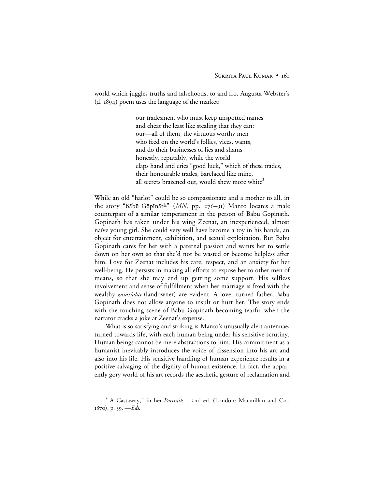world which juggles truths and falsehoods, to and fro. Augusta Webster's  $(d. 1894)$  poem uses the language of the market:

> our tradesmen, who must keep unspotted names and cheat the least like stealing that they can: our—all of them, the virtuous worthy men who feed on the world's follies, vices, wants, and do their businesses of lies and shams honestly, reputably, while the world claps hand and cries "good luck," which of these trades, their honourable trades, barefaced like mine, all secrets brazened out, would shew more white<sup>3</sup>

While an old "harlot" could be so compassionate and a mother to all, in the story "Bābū Gōpīnāth" (*MN*, pp. 276–91) Manto locates a male counterpart of a similar temperament in the person of Babu Gopinath. Gopinath has taken under his wing Zeenat, an inexperienced, almost naïve young girl. She could very well have become a toy in his hands, an object for entertainment, exhibition, and sexual exploitation. But Babu Gopinath cares for her with a paternal passion and wants her to settle down on her own so that she'd not be wasted or become helpless after him. Love for Zeenat includes his care, respect, and an anxiety for her well-being. He persists in making all efforts to expose her to other men of means, so that she may end up getting some support. His selfless involvement and sense of fulfillment when her marriage is fixed with the wealthy *zamīndār* (landowner) are evident. A lover turned father, Babu Gopinath does not allow anyone to insult or hurt her. The story ends with the touching scene of Babu Gopinath becoming tearful when the narrator cracks a joke at Zeenat's expense.

What is so satisfying and striking is Manto's unusually alert antennae, turned towards life, with each human being under his sensitive scrutiny. Human beings cannot be mere abstractions to him. His commitment as a humanist inevitably introduces the voice of dissension into his art and also into his life. His sensitive handling of human experience results in a positive salvaging of the dignity of human existence. In fact, the apparently gory world of his art records the aesthetic gesture of reclamation and

 $\frac{1}{3}$ <sup>3</sup>"A Castaway," in her *Portraits*, 2nd ed. (London: Macmillan and Co., 1870), p. 39. - Eds.